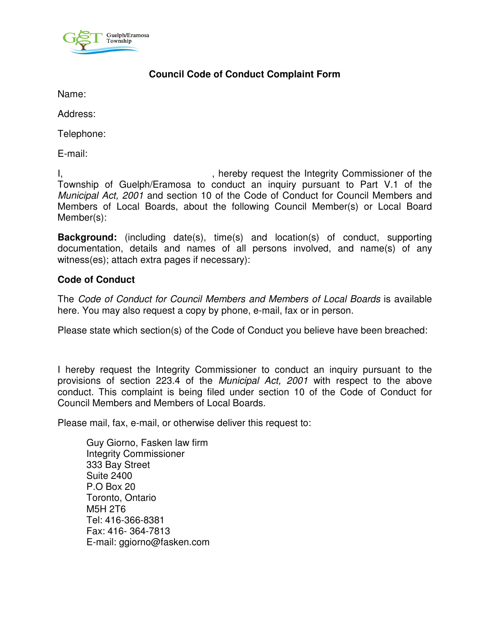

## **Council Code of Conduct Complaint Form**

Name:

Address:

Telephone:

E-mail:

I, the integrity Commissioner of the Integrity Commissioner of the Township of Guelph/Eramosa to conduct an inquiry pursuant to Part V.1 of the Municipal Act, 2001 and section 10 of the Code of Conduct for Council Members and Members of Local Boards, about the following Council Member(s) or Local Board Member(s):

**Background:** (including date(s), time(s) and location(s) of conduct, supporting documentation, details and names of all persons involved, and name(s) of any witness(es); attach extra pages if necessary):

## **Code of Conduct**

The Code of Conduct for Council Members and Members of Local Boards is available here. You may also request a copy by phone, e-mail, fax or in person.

Please state which section(s) of the Code of Conduct you believe have been breached:

I hereby request the Integrity Commissioner to conduct an inquiry pursuant to the provisions of section 223.4 of the Municipal Act, 2001 with respect to the above conduct. This complaint is being filed under section 10 of the Code of Conduct for Council Members and Members of Local Boards.

Please mail, fax, e-mail, or otherwise deliver this request to:

Guy Giorno, Fasken law firm Integrity Commissioner 333 Bay Street Suite 2400 P.O Box 20 Toronto, Ontario M5H 2T6 Tel: 416-366-8381 Fax: 416- 364-7813 E-mail: ggiorno@fasken.com